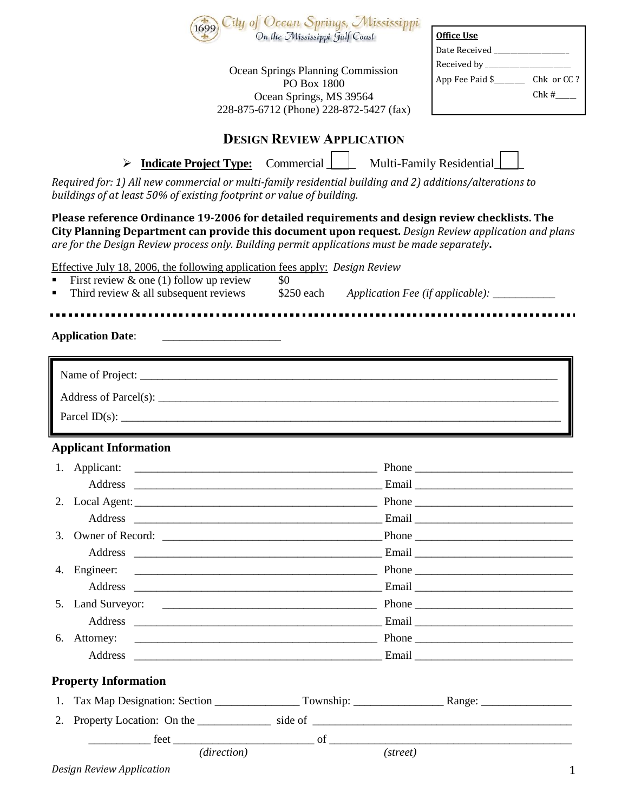|                                                                                                                        | 1699                                                                                                                                                                               | City of Ocean Springs, Mississippi<br>On the Mississippi Gulf Coast | <b>Office Use</b><br>Date Received __________________                                                                                                                                                  |
|------------------------------------------------------------------------------------------------------------------------|------------------------------------------------------------------------------------------------------------------------------------------------------------------------------------|---------------------------------------------------------------------|--------------------------------------------------------------------------------------------------------------------------------------------------------------------------------------------------------|
| Ocean Springs Planning Commission<br>PO Box 1800<br>Ocean Springs, MS 39564<br>228-875-6712 (Phone) 228-872-5427 (fax) |                                                                                                                                                                                    |                                                                     | $Chk#$ <sub>____</sub>                                                                                                                                                                                 |
|                                                                                                                        |                                                                                                                                                                                    | <b>DESIGN REVIEW APPLICATION</b>                                    |                                                                                                                                                                                                        |
|                                                                                                                        | <b>Indicate Project Type:</b><br>➤                                                                                                                                                 | $\text{Commercial}$ $\Box$                                          | Multi-Family Residential                                                                                                                                                                               |
|                                                                                                                        | Required for: 1) All new commercial or multi-family residential building and 2) additions/alterations to<br>buildings of at least 50% of existing footprint or value of building.  |                                                                     |                                                                                                                                                                                                        |
|                                                                                                                        | are for the Design Review process only. Building permit applications must be made separately.                                                                                      |                                                                     | Please reference Ordinance 19-2006 for detailed requirements and design review checklists. The<br>City Planning Department can provide this document upon request. Design Review application and plans |
|                                                                                                                        | Effective July 18, 2006, the following application fees apply: Design Review<br>First review $\&$ one (1) follow up review<br>Third review $\&$ all subsequent reviews $$250$ each | \$0                                                                 | Application Fee (if applicable): __________                                                                                                                                                            |
|                                                                                                                        |                                                                                                                                                                                    |                                                                     |                                                                                                                                                                                                        |
|                                                                                                                        | <b>Application Date:</b>                                                                                                                                                           |                                                                     |                                                                                                                                                                                                        |
|                                                                                                                        |                                                                                                                                                                                    |                                                                     |                                                                                                                                                                                                        |
|                                                                                                                        |                                                                                                                                                                                    |                                                                     |                                                                                                                                                                                                        |
|                                                                                                                        | Parcel $ID(s)$ :                                                                                                                                                                   |                                                                     |                                                                                                                                                                                                        |
|                                                                                                                        |                                                                                                                                                                                    |                                                                     |                                                                                                                                                                                                        |
|                                                                                                                        | <b>Applicant Information</b>                                                                                                                                                       |                                                                     |                                                                                                                                                                                                        |
| 1. Applicant:                                                                                                          |                                                                                                                                                                                    |                                                                     | $\frac{1}{2}$ Phone $\frac{1}{2}$ Phone $\frac{1}{2}$                                                                                                                                                  |
|                                                                                                                        |                                                                                                                                                                                    |                                                                     |                                                                                                                                                                                                        |
| 2.                                                                                                                     |                                                                                                                                                                                    |                                                                     |                                                                                                                                                                                                        |
| 3.                                                                                                                     |                                                                                                                                                                                    |                                                                     |                                                                                                                                                                                                        |
|                                                                                                                        |                                                                                                                                                                                    |                                                                     |                                                                                                                                                                                                        |
| 4.                                                                                                                     | Engineer:                                                                                                                                                                          |                                                                     |                                                                                                                                                                                                        |
|                                                                                                                        |                                                                                                                                                                                    |                                                                     |                                                                                                                                                                                                        |
| 5.                                                                                                                     |                                                                                                                                                                                    |                                                                     |                                                                                                                                                                                                        |
|                                                                                                                        |                                                                                                                                                                                    |                                                                     |                                                                                                                                                                                                        |
| 6.                                                                                                                     | Attorney:                                                                                                                                                                          |                                                                     |                                                                                                                                                                                                        |
|                                                                                                                        |                                                                                                                                                                                    |                                                                     |                                                                                                                                                                                                        |
|                                                                                                                        | <b>Property Information</b>                                                                                                                                                        |                                                                     |                                                                                                                                                                                                        |
| 1.                                                                                                                     |                                                                                                                                                                                    |                                                                     |                                                                                                                                                                                                        |
| 2.                                                                                                                     |                                                                                                                                                                                    |                                                                     |                                                                                                                                                                                                        |
|                                                                                                                        |                                                                                                                                                                                    |                                                                     |                                                                                                                                                                                                        |
|                                                                                                                        | (direction)                                                                                                                                                                        |                                                                     | (street)                                                                                                                                                                                               |
|                                                                                                                        | <b>Design Review Application</b>                                                                                                                                                   |                                                                     | $\mathbf{1}$                                                                                                                                                                                           |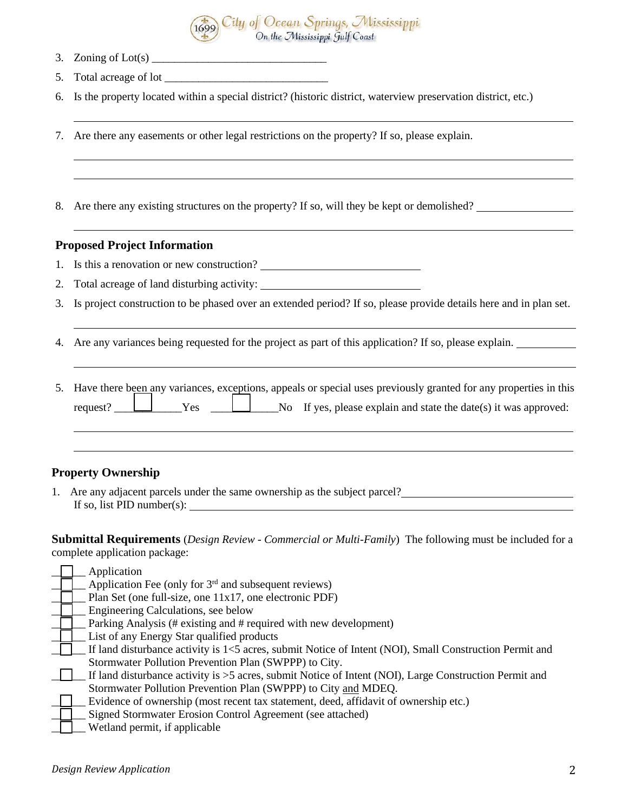

- 3. Zoning of  $Lot(s)$
- 5. Total acreage of lot \_\_\_\_\_\_\_\_\_\_\_\_\_\_\_\_\_\_\_\_\_\_\_\_\_\_\_\_\_
- 6. Is the property located within a special district? (historic district, waterview preservation district, etc.)
- 7. Are there any easements or other legal restrictions on the property? If so, please explain.
- 8. Are there any existing structures on the property? If so, will they be kept or demolished?

#### **Proposed Project Information**

- 1. Is this a renovation or new construction?
- 2. Total acreage of land disturbing activity:
- 3. Is project construction to be phased over an extended period? If so, please provide details here and in plan set.
- 4. Are any variances being requested for the project as part of this application? If so, please explain.

|  |  | 5. Have there been any variances, exceptions, appeals or special uses previously granted for any properties in this |
|--|--|---------------------------------------------------------------------------------------------------------------------|
|  |  | request? $\Box$ Yes $\Box$ No If yes, please explain and state the date(s) it was approved:                         |

#### **Property Ownership**

1. Are any adjacent parcels under the same ownership as the subject parcel? If so, list PID number(s):

**Submittal Requirements** (*Design Review - Commercial or Multi-Family*) The following must be included for a complete application package:

|  | Application                                                                                             |
|--|---------------------------------------------------------------------------------------------------------|
|  | Application Fee (only for $3rd$ and subsequent reviews)                                                 |
|  | Plan Set (one full-size, one 11x17, one electronic PDF)                                                 |
|  | Engineering Calculations, see below                                                                     |
|  | Parking Analysis (# existing and # required with new development)                                       |
|  | List of any Energy Star qualified products                                                              |
|  | If land disturbance activity is 1<5 acres, submit Notice of Intent (NOI), Small Construction Permit and |
|  | Stormwater Pollution Prevention Plan (SWPPP) to City.                                                   |
|  | If land disturbance activity is >5 acres, submit Notice of Intent (NOI), Large Construction Permit and  |
|  | Stormwater Pollution Prevention Plan (SWPPP) to City and MDEQ.                                          |
|  | Evidence of ownership (most recent tax statement, deed, affidavit of ownership etc.)                    |
|  | Signed Stormwater Erosion Control Agreement (see attached)                                              |
|  | Wetland permit, if applicable                                                                           |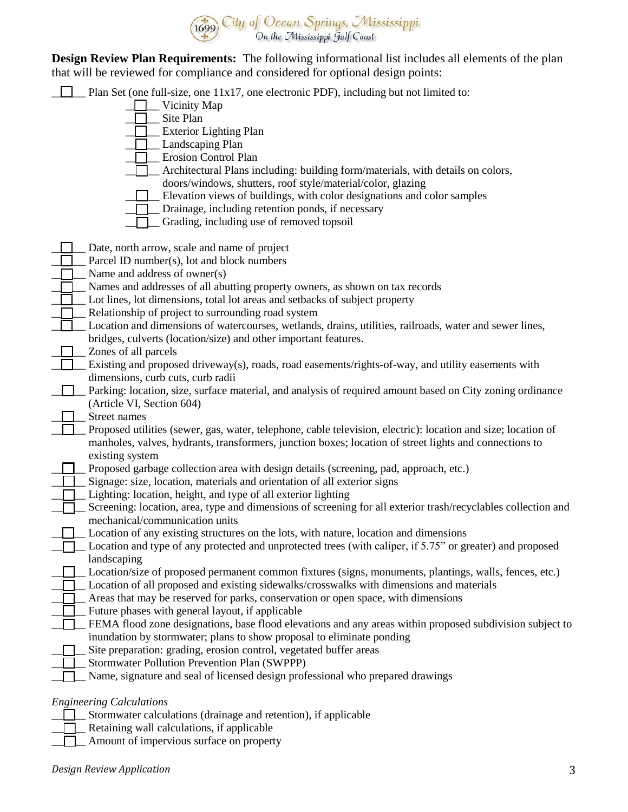

**Design Review Plan Requirements:** The following informational list includes all elements of the plan that will be reviewed for compliance and considered for optional design points:

|  |  | <b>Plan Set</b> (one full-size, one $11x17$ , one electronic PDF), including but not limited to: |  |
|--|--|--------------------------------------------------------------------------------------------------|--|
|  |  |                                                                                                  |  |

- \_\_\_\_\_\_ Vicinity Map
- Site Plan
- **T** Exterior Lighting Plan
- $\Box$  Landscaping Plan
- **T** Erosion Control Plan
- $\Box$  Architectural Plans including: building form/materials, with details on colors, doors/windows, shutters, roof style/material/color, glazing
	-
	- \_\_\_\_\_\_ Elevation views of buildings, with color designations and color samples
- **Drainage, including retention ponds, if necessary**
- $\Box$  Grading, including use of removed topsoil
- Dete, north arrow, scale and name of project
	- Parcel ID number(s), lot and block numbers
- Name and address of owner(s)
- Names and addresses of all abutting property owners, as shown on tax records
- Lot lines, lot dimensions, total lot areas and setbacks of subject property
- Relationship of project to surrounding road system
	- Location and dimensions of watercourses, wetlands, drains, utilities, railroads, water and sewer lines, bridges, culverts (location/size) and other important features.
- Zones of all parcels
	- Existing and proposed driveway(s), roads, road easements/rights-of-way, and utility easements with dimensions, curb cuts, curb radii
- \_\_\_\_\_\_ Parking: location, size, surface material, and analysis of required amount based on City zoning ordinance (Article VI, Section 604)
- Street names
- \_\_\_\_\_\_ Proposed utilities (sewer, gas, water, telephone, cable television, electric): location and size; location of manholes, valves, hydrants, transformers, junction boxes; location of street lights and connections to existing system
- Proposed garbage collection area with design details (screening, pad, approach, etc.)
- Signage: size, location, materials and orientation of all exterior signs
- Lighting: location, height, and type of all exterior lighting
- Screening: location, area, type and dimensions of screening for all exterior trash/recyclables collection and mechanical/communication units
- Location of any existing structures on the lots, with nature, location and dimensions
- $\Box$  Location and type of any protected and unprotected trees (with caliper, if 5.75" or greater) and proposed landscaping
- □ Location/size of proposed permanent common fixtures (signs, monuments, plantings, walls, fences, etc.)
- $\Box$  Location of all proposed and existing sidewalks/crosswalks with dimensions and materials
- \_\_\_\_\_\_ Areas that may be reserved for parks, conservation or open space, with dimensions
- Future phases with general layout, if applicable
- FEMA flood zone designations, base flood elevations and any areas within proposed subdivision subject to inundation by stormwater; plans to show proposal to eliminate ponding
- Site preparation: grading, erosion control, vegetated buffer areas
- Stormwater Pollution Prevention Plan (SWPPP)
- Name, signature and seal of licensed design professional who prepared drawings

#### *Engineering Calculations*

- \_\_\_\_\_\_ Stormwater calculations (drainage and retention), if applicable
- $\Box$  Retaining wall calculations, if applicable
- $\Box$  Amount of impervious surface on property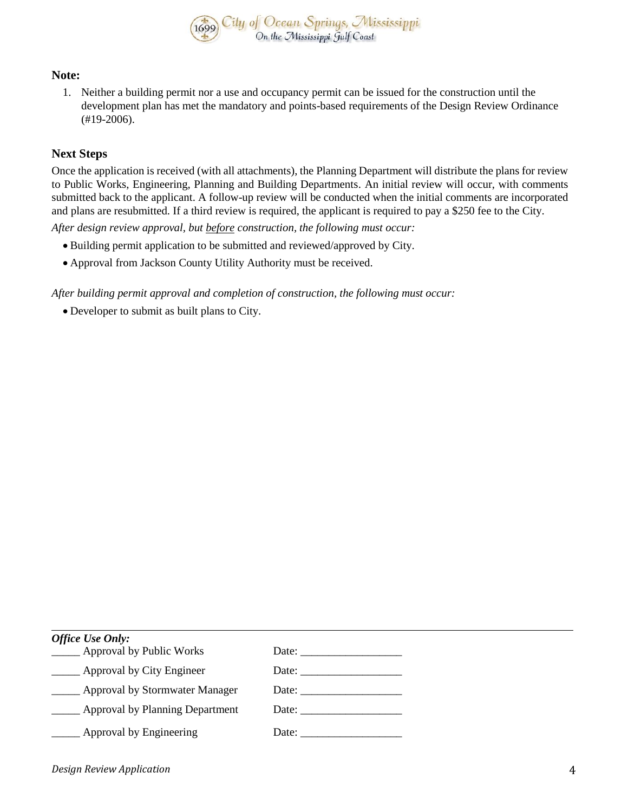

#### **Note:**

1. Neither a building permit nor a use and occupancy permit can be issued for the construction until the development plan has met the mandatory and points-based requirements of the Design Review Ordinance (#19-2006).

#### **Next Steps**

Once the application is received (with all attachments), the Planning Department will distribute the plans for review to Public Works, Engineering, Planning and Building Departments. An initial review will occur, with comments submitted back to the applicant. A follow-up review will be conducted when the initial comments are incorporated and plans are resubmitted. If a third review is required, the applicant is required to pay a \$250 fee to the City.

*After design review approval, but before construction, the following must occur:*

- Building permit application to be submitted and reviewed/approved by City.
- Approval from Jackson County Utility Authority must be received.

*After building permit approval and completion of construction, the following must occur:*

Developer to submit as built plans to City.

| <b>Office Use Only:</b>                   |                                                                                                                                                                                                                                                                                                                                                                                                                                                   |
|-------------------------------------------|---------------------------------------------------------------------------------------------------------------------------------------------------------------------------------------------------------------------------------------------------------------------------------------------------------------------------------------------------------------------------------------------------------------------------------------------------|
| ____ Approval by Public Works             |                                                                                                                                                                                                                                                                                                                                                                                                                                                   |
| <b>Engineer</b> Approval by City Engineer | Date: $\qquad \qquad$                                                                                                                                                                                                                                                                                                                                                                                                                             |
| _____ Approval by Stormwater Manager      | Date: $\frac{1}{\sqrt{1-\frac{1}{2}} \cdot \frac{1}{2}}$                                                                                                                                                                                                                                                                                                                                                                                          |
| Approval by Planning Department           |                                                                                                                                                                                                                                                                                                                                                                                                                                                   |
| Approval by Engineering                   | Date: $\frac{1}{\sqrt{1-\frac{1}{2}} \cdot \frac{1}{2} \cdot \frac{1}{2} \cdot \frac{1}{2} \cdot \frac{1}{2} \cdot \frac{1}{2} \cdot \frac{1}{2} \cdot \frac{1}{2} \cdot \frac{1}{2} \cdot \frac{1}{2} \cdot \frac{1}{2} \cdot \frac{1}{2} \cdot \frac{1}{2} \cdot \frac{1}{2} \cdot \frac{1}{2} \cdot \frac{1}{2} \cdot \frac{1}{2} \cdot \frac{1}{2} \cdot \frac{1}{2} \cdot \frac{1}{2} \cdot \frac{1}{2} \cdot \frac{1}{2} \cdot \frac{1}{2}$ |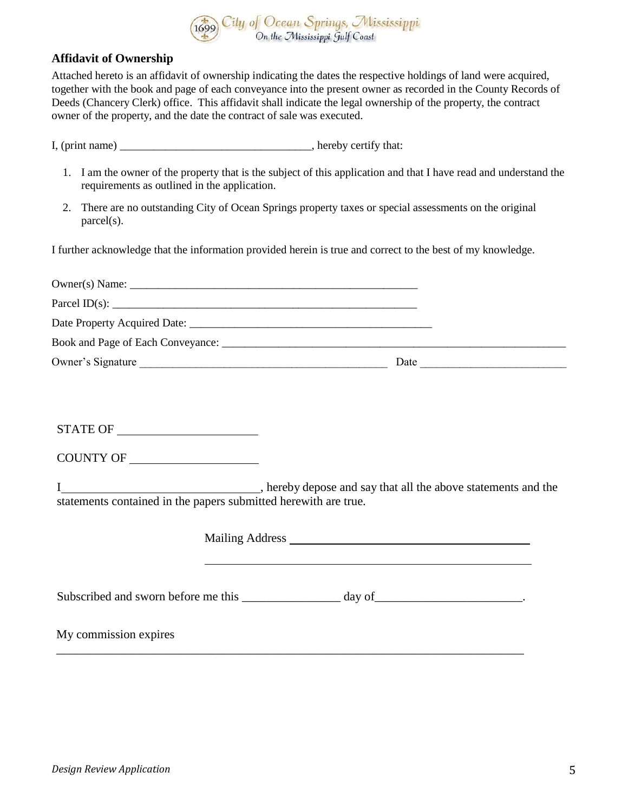

#### **Affidavit of Ownership**

Attached hereto is an affidavit of ownership indicating the dates the respective holdings of land were acquired, together with the book and page of each conveyance into the present owner as recorded in the County Records of Deeds (Chancery Clerk) office. This affidavit shall indicate the legal ownership of the property, the contract owner of the property, and the date the contract of sale was executed.

I, (print name) \_\_\_\_\_\_\_\_\_\_\_\_\_\_\_\_\_\_\_\_\_\_\_\_\_\_\_, hereby certify that:

- 1. I am the owner of the property that is the subject of this application and that I have read and understand the requirements as outlined in the application.
- 2. There are no outstanding City of Ocean Springs property taxes or special assessments on the original parcel(s).

I further acknowledge that the information provided herein is true and correct to the best of my knowledge.

| $\text{Owner}(s) \text{ Name: }$                                                                                                                                                                                                                                                                                                                                                                                                                 |  |                                                                                  |  |
|--------------------------------------------------------------------------------------------------------------------------------------------------------------------------------------------------------------------------------------------------------------------------------------------------------------------------------------------------------------------------------------------------------------------------------------------------|--|----------------------------------------------------------------------------------|--|
| Parcel ID(s): $\qquad \qquad$                                                                                                                                                                                                                                                                                                                                                                                                                    |  |                                                                                  |  |
|                                                                                                                                                                                                                                                                                                                                                                                                                                                  |  |                                                                                  |  |
| Book and Page of Each Conveyance: 2008 and 2008 and 2008 and 2008 and 2008 and 2008 and 2008 and 2008 and 2008                                                                                                                                                                                                                                                                                                                                   |  |                                                                                  |  |
|                                                                                                                                                                                                                                                                                                                                                                                                                                                  |  |                                                                                  |  |
|                                                                                                                                                                                                                                                                                                                                                                                                                                                  |  |                                                                                  |  |
|                                                                                                                                                                                                                                                                                                                                                                                                                                                  |  |                                                                                  |  |
|                                                                                                                                                                                                                                                                                                                                                                                                                                                  |  |                                                                                  |  |
| $\begin{tabular}{c} \bf STATE OF \end{tabular} \begin{tabular}{c} \textbf{5} \textbf{TATE OF} \end{tabular} \begin{tabular}{c} \textbf{5} \textbf{6} \textbf{6} \textbf{6} \textbf{6} \textbf{6} \textbf{6} \textbf{6} \textbf{6} \textbf{6} \textbf{6} \textbf{6} \textbf{6} \textbf{6} \textbf{6} \textbf{6} \textbf{6} \textbf{6} \textbf{6} \textbf{6} \textbf{6} \textbf{6} \textbf{6} \textbf{6} \textbf{6} \textbf{6} \textbf{6} \textbf$ |  |                                                                                  |  |
|                                                                                                                                                                                                                                                                                                                                                                                                                                                  |  |                                                                                  |  |
|                                                                                                                                                                                                                                                                                                                                                                                                                                                  |  |                                                                                  |  |
| statements contained in the papers submitted herewith are true.                                                                                                                                                                                                                                                                                                                                                                                  |  |                                                                                  |  |
|                                                                                                                                                                                                                                                                                                                                                                                                                                                  |  |                                                                                  |  |
|                                                                                                                                                                                                                                                                                                                                                                                                                                                  |  |                                                                                  |  |
|                                                                                                                                                                                                                                                                                                                                                                                                                                                  |  |                                                                                  |  |
|                                                                                                                                                                                                                                                                                                                                                                                                                                                  |  | ,我们也不会有什么。""我们的人,我们也不会有什么?""我们的人,我们也不会有什么?""我们的人,我们也不会有什么?""我们的人,我们也不会有什么?""我们的人 |  |
|                                                                                                                                                                                                                                                                                                                                                                                                                                                  |  |                                                                                  |  |
| My commission expires                                                                                                                                                                                                                                                                                                                                                                                                                            |  |                                                                                  |  |
|                                                                                                                                                                                                                                                                                                                                                                                                                                                  |  |                                                                                  |  |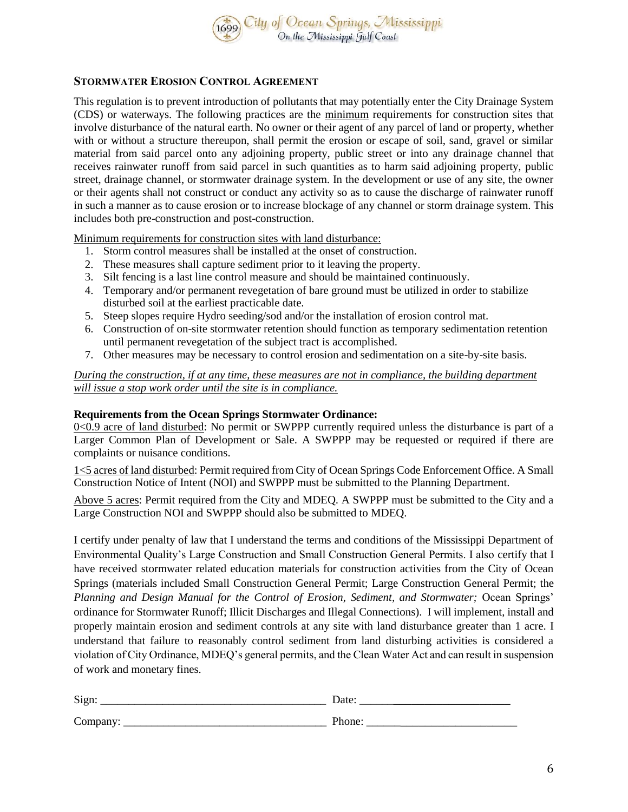

#### **STORMWATER EROSION CONTROL AGREEMENT**

This regulation is to prevent introduction of pollutants that may potentially enter the City Drainage System (CDS) or waterways. The following practices are the minimum requirements for construction sites that involve disturbance of the natural earth. No owner or their agent of any parcel of land or property, whether with or without a structure thereupon, shall permit the erosion or escape of soil, sand, gravel or similar material from said parcel onto any adjoining property, public street or into any drainage channel that receives rainwater runoff from said parcel in such quantities as to harm said adjoining property, public street, drainage channel, or stormwater drainage system. In the development or use of any site, the owner or their agents shall not construct or conduct any activity so as to cause the discharge of rainwater runoff in such a manner as to cause erosion or to increase blockage of any channel or storm drainage system. This includes both pre-construction and post-construction.

Minimum requirements for construction sites with land disturbance:

- 1. Storm control measures shall be installed at the onset of construction.
- 2. These measures shall capture sediment prior to it leaving the property.
- 3. Silt fencing is a last line control measure and should be maintained continuously.
- 4. Temporary and/or permanent revegetation of bare ground must be utilized in order to stabilize disturbed soil at the earliest practicable date.
- 5. Steep slopes require Hydro seeding/sod and/or the installation of erosion control mat.
- 6. Construction of on-site stormwater retention should function as temporary sedimentation retention until permanent revegetation of the subject tract is accomplished.
- 7. Other measures may be necessary to control erosion and sedimentation on a site-by-site basis.

*During the construction, if at any time, these measures are not in compliance, the building department will issue a stop work order until the site is in compliance.*

#### **Requirements from the Ocean Springs Stormwater Ordinance:**

0<0.9 acre of land disturbed: No permit or SWPPP currently required unless the disturbance is part of a Larger Common Plan of Development or Sale. A SWPPP may be requested or required if there are complaints or nuisance conditions.

1<5 acres of land disturbed: Permit required from City of Ocean Springs Code Enforcement Office. A Small Construction Notice of Intent (NOI) and SWPPP must be submitted to the Planning Department.

Above 5 acres: Permit required from the City and MDEQ. A SWPPP must be submitted to the City and a Large Construction NOI and SWPPP should also be submitted to MDEQ.

I certify under penalty of law that I understand the terms and conditions of the Mississippi Department of Environmental Quality's Large Construction and Small Construction General Permits. I also certify that I have received stormwater related education materials for construction activities from the City of Ocean Springs (materials included Small Construction General Permit; Large Construction General Permit; the *Planning and Design Manual for the Control of Erosion, Sediment, and Stormwater;* Ocean Springs' ordinance for Stormwater Runoff; Illicit Discharges and Illegal Connections). I will implement, install and properly maintain erosion and sediment controls at any site with land disturbance greater than 1 acre. I understand that failure to reasonably control sediment from land disturbing activities is considered a violation of City Ordinance, MDEQ's general permits, and the Clean Water Act and can result in suspension of work and monetary fines.

| Sign:    | Date:  |
|----------|--------|
| Company: | Phone. |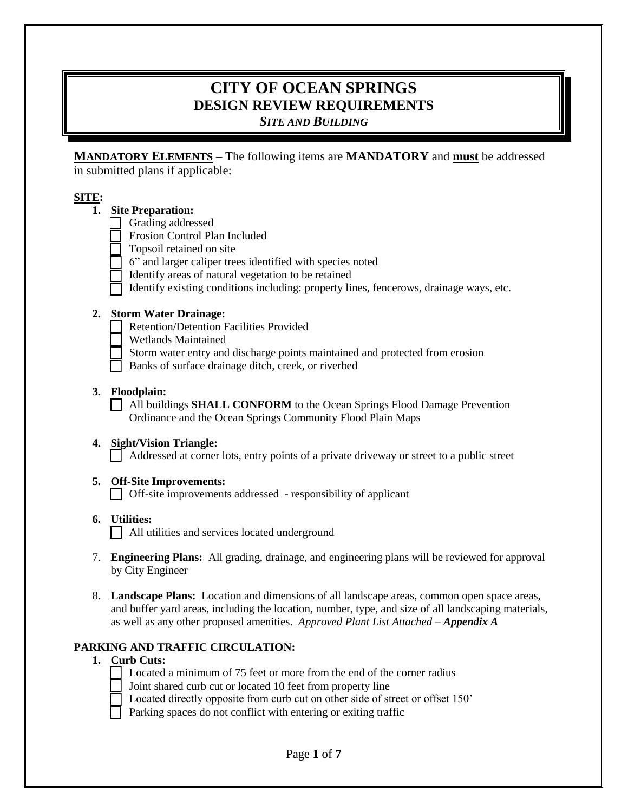# **CITY OF OCEAN SPRINGS DESIGN REVIEW REQUIREMENTS** *SITE AND BUILDING*

**MANDATORY ELEMENTS –** The following items are **MANDATORY** and **must** be addressed in submitted plans if applicable:

#### **SITE:**

# **1. Site Preparation:**

- Grading addressed
- Erosion Control Plan Included
- Topsoil retained on site
- 6" and larger caliper trees identified with species noted
- Identify areas of natural vegetation to be retained
- Identify existing conditions including: property lines, fencerows, drainage ways, etc.

### **2. Storm Water Drainage:**

- Retention/Detention Facilities Provided
- Wetlands Maintained
- Storm water entry and discharge points maintained and protected from erosion
- Banks of surface drainage ditch, creek, or riverbed

### **3. Floodplain:**

 All buildings **SHALL CONFORM** to the Ocean Springs Flood Damage Prevention Ordinance and the Ocean Springs Community Flood Plain Maps

# **4. Sight/Vision Triangle:**

Addressed at corner lots, entry points of a private driveway or street to a public street

# **5. Off-Site Improvements:**

Off-site improvements addressed - responsibility of applicant

**6. Utilities:**

All utilities and services located underground

- 7. **Engineering Plans:** All grading, drainage, and engineering plans will be reviewed for approval by City Engineer
- 8. **Landscape Plans:** Location and dimensions of all landscape areas, common open space areas, and buffer yard areas, including the location, number, type, and size of all landscaping materials, as well as any other proposed amenities. *Approved Plant List Attached – Appendix A*

#### **PARKING AND TRAFFIC CIRCULATION:**

#### **1. Curb Cuts:**

- Located a minimum of 75 feet or more from the end of the corner radius
- Joint shared curb cut or located 10 feet from property line
- Located directly opposite from curb cut on other side of street or offset 150'
- Parking spaces do not conflict with entering or exiting traffic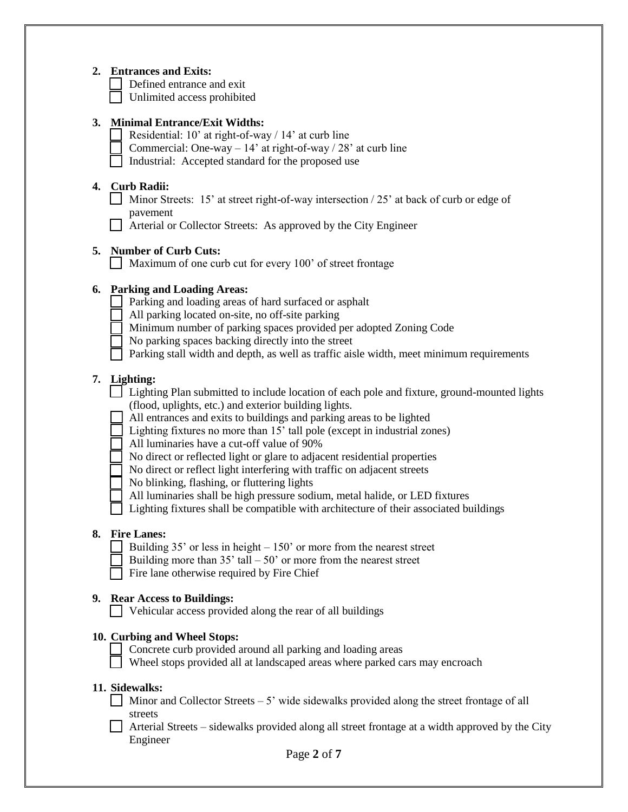#### **2. Entrances and Exits:**

Defined entrance and exit

Unlimited access prohibited

#### **3. Minimal Entrance/Exit Widths:**

- Residential: 10' at right-of-way / 14' at curb line
- Commercial: One-way  $14'$  at right-of-way /  $28'$  at curb line
- Industrial: Accepted standard for the proposed use

### **4. Curb Radii:**

- Minor Streets: 15' at street right-of-way intersection  $/25'$  at back of curb or edge of pavement
- Arterial or Collector Streets: As approved by the City Engineer

# **5. Number of Curb Cuts:**

Maximum of one curb cut for every 100' of street frontage

### **6. Parking and Loading Areas:**

- Parking and loading areas of hard surfaced or asphalt
- All parking located on-site, no off-site parking
- Minimum number of parking spaces provided per adopted Zoning Code
- No parking spaces backing directly into the street
- Parking stall width and depth, as well as traffic aisle width, meet minimum requirements

### **7. Lighting:**

- Lighting Plan submitted to include location of each pole and fixture, ground-mounted lights (flood, uplights, etc.) and exterior building lights.
	- All entrances and exits to buildings and parking areas to be lighted
	- Lighting fixtures no more than 15' tall pole (except in industrial zones)
	- All luminaries have a cut-off value of 90%
	- No direct or reflected light or glare to adjacent residential properties
	- No direct or reflect light interfering with traffic on adjacent streets
	- No blinking, flashing, or fluttering lights
	- All luminaries shall be high pressure sodium, metal halide, or LED fixtures
	- Lighting fixtures shall be compatible with architecture of their associated buildings

#### **8. Fire Lanes:**

- Building  $35'$  or less in height  $-150'$  or more from the nearest street
- Building more than  $35'$  tall  $-50'$  or more from the nearest street
- Fire lane otherwise required by Fire Chief

#### **9. Rear Access to Buildings:**

Vehicular access provided along the rear of all buildings

#### **10. Curbing and Wheel Stops:**

- Concrete curb provided around all parking and loading areas
- $\Box$  Wheel stops provided all at landscaped areas where parked cars may encroach

#### **11. Sidewalks:**

- $\Box$  Minor and Collector Streets 5' wide sidewalks provided along the street frontage of all streets
- Arterial Streets sidewalks provided along all street frontage at a width approved by the City Engineer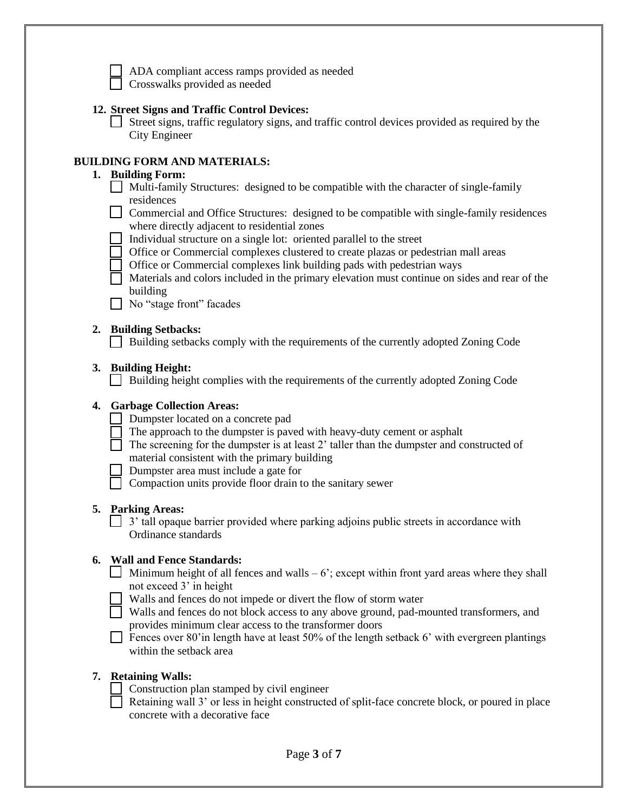

ADA compliant access ramps provided as needed

Crosswalks provided as needed

# **12. Street Signs and Traffic Control Devices:**

 Street signs, traffic regulatory signs, and traffic control devices provided as required by the City Engineer

#### **BUILDING FORM AND MATERIALS:**

### **1. Building Form:**

- $\Box$  Multi-family Structures: designed to be compatible with the character of single-family residences
- Commercial and Office Structures: designed to be compatible with single-family residences where directly adjacent to residential zones
- Individual structure on a single lot: oriented parallel to the street
- Office or Commercial complexes clustered to create plazas or pedestrian mall areas
- Office or Commercial complexes link building pads with pedestrian ways
- $\Box$  Materials and colors included in the primary elevation must continue on sides and rear of the building
- No "stage front" facades

#### **2. Building Setbacks:**

Building setbacks comply with the requirements of the currently adopted Zoning Code

#### **3. Building Height:**

Building height complies with the requirements of the currently adopted Zoning Code

#### **4. Garbage Collection Areas:**

- Dumpster located on a concrete pad
	- The approach to the dumpster is paved with heavy-duty cement or asphalt
- $\Box$  The screening for the dumpster is at least 2' taller than the dumpster and constructed of material consistent with the primary building

Dumpster area must include a gate for

 $\Box$  Compaction units provide floor drain to the sanitary sewer

#### **5. Parking Areas:**

 $\Box$  3' tall opaque barrier provided where parking adjoins public streets in accordance with Ordinance standards

#### **6. Wall and Fence Standards:**

- Minimum height of all fences and walls  $-6$ ; except within front yard areas where they shall not exceed 3' in height
- Walls and fences do not impede or divert the flow of storm water
- Walls and fences do not block access to any above ground, pad-mounted transformers, and provides minimum clear access to the transformer doors
- Fences over 80'in length have at least 50% of the length setback 6' with evergreen plantings within the setback area

#### **7. Retaining Walls:**

- $\Box$  Construction plan stamped by civil engineer
- Retaining wall  $3'$  or less in height constructed of split-face concrete block, or poured in place concrete with a decorative face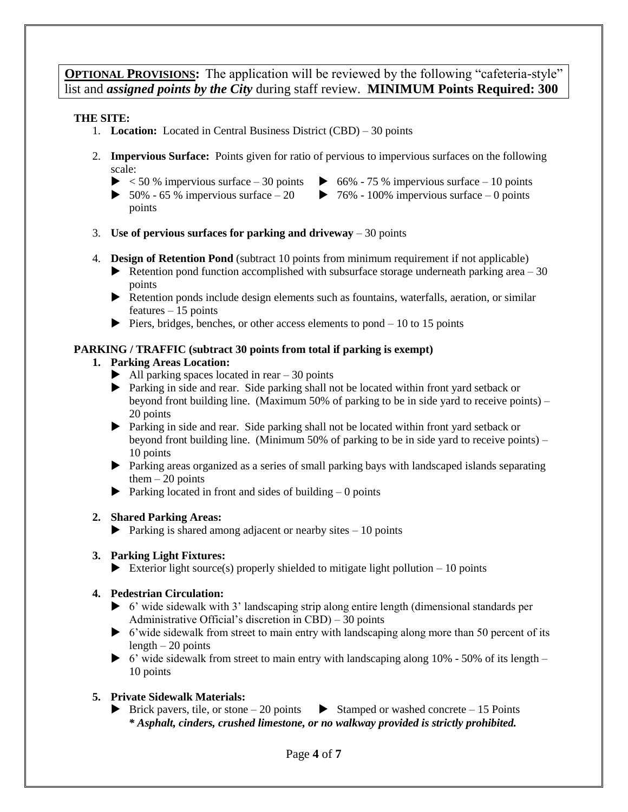**OPTIONAL PROVISIONS:** The application will be reviewed by the following "cafeteria-style" list and *assigned points by the City* during staff review. **MINIMUM Points Required: 300**

#### **THE SITE:**

- 1. **Location:** Located in Central Business District (CBD) 30 points
- 2. **Impervious Surface:** Points given for ratio of pervious to impervious surfaces on the following scale:
	- $\blacktriangleright$  < 50 % impervious surface 30 points
		- $\triangleright$  66% 75 % impervious surface 10 points
	- $\blacktriangleright$  50% 65 % impervious surface 20 points  $\triangleright$  76% - 100% impervious surface – 0 points
- 3. **Use of pervious surfaces for parking and driveway** 30 points
- 4. **Design of Retention Pond** (subtract 10 points from minimum requirement if not applicable)
	- $\blacktriangleright$  Retention pond function accomplished with subsurface storage underneath parking area  $-30$ points
	- Retention ponds include design elements such as fountains, waterfalls, aeration, or similar features – 15 points
	- $\triangleright$  Piers, bridges, benches, or other access elements to pond 10 to 15 points

# **PARKING / TRAFFIC (subtract 30 points from total if parking is exempt)**

### **1. Parking Areas Location:**

- $\blacktriangleright$  All parking spaces located in rear 30 points
- Parking in side and rear. Side parking shall not be located within front yard setback or beyond front building line. (Maximum 50% of parking to be in side yard to receive points) – 20 points
- Parking in side and rear. Side parking shall not be located within front yard setback or beyond front building line. (Minimum 50% of parking to be in side yard to receive points) – 10 points
- Parking areas organized as a series of small parking bays with landscaped islands separating them  $-20$  points
- $\blacktriangleright$  Parking located in front and sides of building 0 points

# **2. Shared Parking Areas:**

 $\blacktriangleright$  Parking is shared among adjacent or nearby sites  $-10$  points

# **3. Parking Light Fixtures:**

Exterior light source(s) properly shielded to mitigate light pollution  $-10$  points

# **4. Pedestrian Circulation:**

- 6' wide sidewalk with 3' landscaping strip along entire length (dimensional standards per Administrative Official's discretion in CBD) – 30 points
- $\triangleright$  6'wide sidewalk from street to main entry with landscaping along more than 50 percent of its  $length - 20$  points
- $\triangleright$  6' wide sidewalk from street to main entry with landscaping along 10% 50% of its length 10 points

# **5. Private Sidewalk Materials:**

Brick pavers, tile, or stone – 20 points  $\triangleright$  Stamped or washed concrete – 15 Points *\* Asphalt, cinders, crushed limestone, or no walkway provided is strictly prohibited.*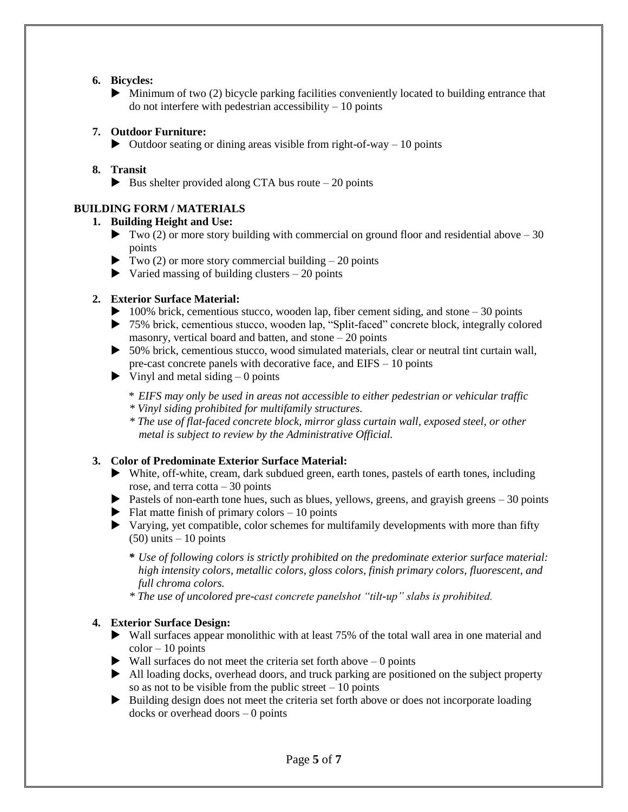#### **6. Bicycles:**

 $\blacktriangleright$  Minimum of two (2) bicycle parking facilities conveniently located to building entrance that do not interfere with pedestrian accessibility  $-10$  points

#### **7. Outdoor Furniture:**

 $\triangleright$  Outdoor seating or dining areas visible from right-of-way – 10 points

### **8. Transit**

Bus shelter provided along CTA bus route  $-20$  points

# **BUILDING FORM / MATERIALS**

#### **1. Building Height and Use:**

- $\blacktriangleright$  Two (2) or more story building with commercial on ground floor and residential above 30 points
- $\blacktriangleright$  Two (2) or more story commercial building 20 points
- $\triangleright$  Varied massing of building clusters  $-20$  points

### **2. Exterior Surface Material:**

- $\blacktriangleright$  100% brick, cementious stucco, wooden lap, fiber cement siding, and stone 30 points
- 75% brick, cementious stucco, wooden lap, "Split-faced" concrete block, integrally colored masonry, vertical board and batten, and stone  $-20$  points
- 50% brick, cementious stucco, wood simulated materials, clear or neutral tint curtain wall, pre-cast concrete panels with decorative face, and EIFS – 10 points
- $\triangleright$  Vinyl and metal siding  $-0$  points
	- \* *EIFS may only be used in areas not accessible to either pedestrian or vehicular traffic*
	- *\* Vinyl siding prohibited for multifamily structures.*
	- *\* The use of flat-faced concrete block, mirror glass curtain wall, exposed steel, or other metal is subject to review by the Administrative Official.*

#### **3. Color of Predominate Exterior Surface Material:**

- White, off-white, cream, dark subdued green, earth tones, pastels of earth tones, including rose, and terra cotta  $-30$  points
- Pastels of non-earth tone hues, such as blues, yellows, greens, and grayish greens  $-30$  points
- $\blacktriangleright$  Flat matte finish of primary colors 10 points
- Varying, yet compatible, color schemes for multifamily developments with more than fifty  $(50)$  units  $-10$  points
	- *\* Use of following colors is strictly prohibited on the predominate exterior surface material: high intensity colors, metallic colors, gloss colors, finish primary colors, fluorescent, and full chroma colors.*
	- *\* The use of uncolored pre-cast concrete panelshot "tilt-up" slabs is prohibited.*

# **4. Exterior Surface Design:**

- Wall surfaces appear monolithic with at least 75% of the total wall area in one material and  $color - 10 points$
- $\blacktriangleright$  Wall surfaces do not meet the criteria set forth above  $-0$  points
- All loading docks, overhead doors, and truck parking are positioned on the subject property so as not to be visible from the public street  $-10$  points
- Building design does not meet the criteria set forth above or does not incorporate loading docks or overhead doors  $-0$  points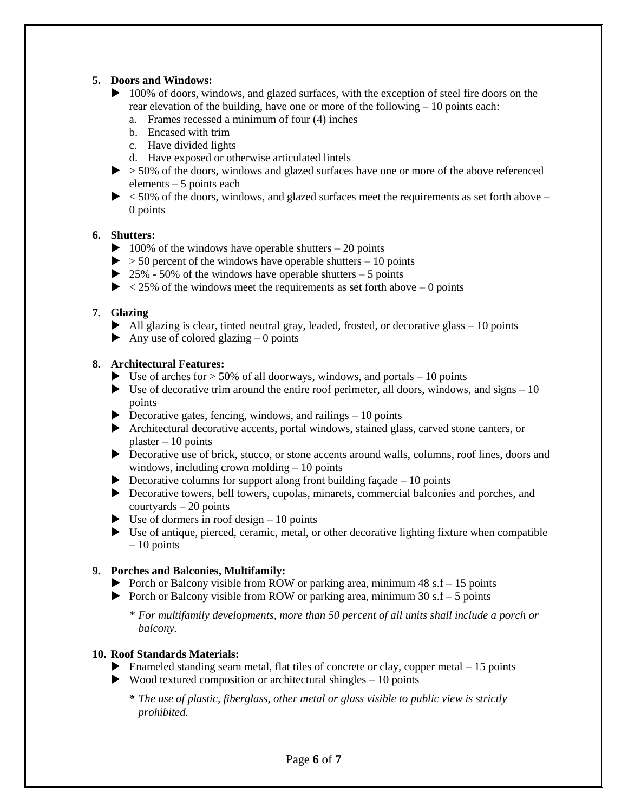#### **5. Doors and Windows:**

- ▶ 100% of doors, windows, and glazed surfaces, with the exception of steel fire doors on the rear elevation of the building, have one or more of the following – 10 points each:
	- a. Frames recessed a minimum of four (4) inches
	- b. Encased with trim
	- c. Have divided lights
	- d. Have exposed or otherwise articulated lintels
- $\triangleright$   $>$  50% of the doors, windows and glazed surfaces have one or more of the above referenced elements – 5 points each
- $\triangleright$  < 50% of the doors, windows, and glazed surfaces meet the requirements as set forth above 0 points

#### **6. Shutters:**

- $\blacktriangleright$  100% of the windows have operable shutters 20 points
- $>$  50 percent of the windows have operable shutters 10 points
- $\triangleright$  25% 50% of the windows have operable shutters 5 points
- $\triangleright$  < 25% of the windows meet the requirements as set forth above 0 points

#### **7. Glazing**

- $\blacktriangleright$  All glazing is clear, tinted neutral gray, leaded, frosted, or decorative glass  $-10$  points
- Any use of colored glazing  $-0$  points

#### **8. Architectural Features:**

- $\blacktriangleright$  Use of arches for  $>$  50% of all doorways, windows, and portals 10 points
- $\blacktriangleright$  Use of decorative trim around the entire roof perimeter, all doors, windows, and signs  $-10$ points
- $\triangleright$  Decorative gates, fencing, windows, and railings 10 points
- Architectural decorative accents, portal windows, stained glass, carved stone canters, or  $plaster - 10 points$
- Decorative use of brick, stucco, or stone accents around walls, columns, roof lines, doors and windows, including crown molding – 10 points
- $\triangleright$  Decorative columns for support along front building facade 10 points
- Decorative towers, bell towers, cupolas, minarets, commercial balconies and porches, and courtyards – 20 points
- $\triangleright$  Use of dormers in roof design 10 points
- Use of antique, pierced, ceramic, metal, or other decorative lighting fixture when compatible – 10 points

#### **9. Porches and Balconies, Multifamily:**

- Porch or Balcony visible from ROW or parking area, minimum  $48 \text{ s.f} 15 \text{ points}$
- Porch or Balcony visible from ROW or parking area, minimum  $30 \text{ s.f} 5 \text{ points}$ 
	- *\* For multifamily developments, more than 50 percent of all units shall include a porch or balcony.*

#### **10. Roof Standards Materials:**

- Enameled standing seam metal, flat tiles of concrete or clay, copper metal  $-15$  points
- $\triangleright$  Wood textured composition or architectural shingles  $-10$  points
	- *\* The use of plastic, fiberglass, other metal or glass visible to public view is strictly prohibited.*